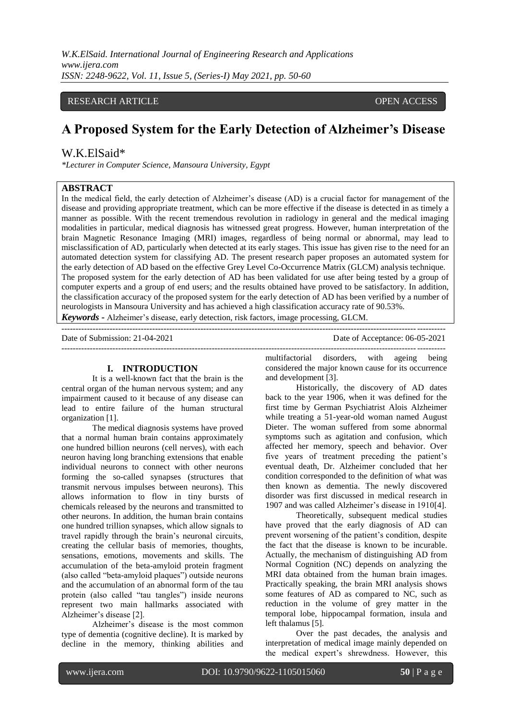## RESEARCH ARTICLE **CONSERVERS** OPEN ACCESS

# **A Proposed System for the Early Detection of Alzheimer's Disease**

# W.K.ElSaid\*

*\*Lecturer in Computer Science, Mansoura University, Egypt*

# **ABSTRACT**

In the medical field, the early detection of Alzheimer's disease (AD) is a crucial factor for management of the disease and providing appropriate treatment, which can be more effective if the disease is detected in as timely a manner as possible. With the recent tremendous revolution in radiology in general and the medical imaging modalities in particular, medical diagnosis has witnessed great progress. However, human interpretation of the brain Magnetic Resonance Imaging (MRI) images, regardless of being normal or abnormal, may lead to misclassification of AD, particularly when detected at its early stages. This issue has given rise to the need for an automated detection system for classifying AD. The present research paper proposes an automated system for the early detection of AD based on the effective Grey Level Co-Occurrence Matrix (GLCM) analysis technique. The proposed system for the early detection of AD has been validated for use after being tested by a group of computer experts and a group of end users; and the results obtained have proved to be satisfactory. In addition, the classification accuracy of the proposed system for the early detection of AD has been verified by a number of neurologists in Mansoura University and has achieved a high classification accuracy rate of 90.53%. *Keywords* **-** Alzheimer's disease, early detection, risk factors, image processing, GLCM.

---------------------------------------------------------------------------------------------------------------------------------------

Date of Submission: 21-04-2021 Date of Acceptance: 06-05-2021

#### **I. INTRODUCTION**

It is a well-known fact that the brain is the central organ of the human nervous system; and any impairment caused to it because of any disease can lead to entire failure of the human structural organization [1].

The medical diagnosis systems have proved that a normal human brain contains approximately one hundred billion neurons (cell nerves), with each neuron having long branching extensions that enable individual neurons to connect with other neurons forming the so-called synapses (structures that transmit nervous impulses between neurons). This allows information to flow in tiny bursts of chemicals released by the neurons and transmitted to other neurons. In addition, the human brain contains one hundred trillion synapses, which allow signals to travel rapidly through the brain's neuronal circuits, creating the cellular basis of memories, thoughts, sensations, emotions, movements and skills. The accumulation of the beta-amyloid protein fragment (also called "beta-amyloid plaques") outside neurons and the accumulation of an abnormal form of the tau protein (also called "tau tangles") inside neurons represent two main hallmarks associated with Alzheimer's disease [2].

Alzheimer's disease is the most common type of dementia (cognitive decline). It is marked by decline in the memory, thinking abilities and

-------------------------------------------------------------------------------------------------------------------------------------- multifactorial disorders, with ageing being considered the major known cause for its occurrence and development [3].

> Historically, the discovery of AD dates back to the year 1906, when it was defined for the first time by German Psychiatrist Alois Alzheimer while treating a 51-year-old woman named August Dieter. The woman suffered from some abnormal symptoms such as agitation and confusion, which affected her memory, speech and behavior. Over five years of treatment preceding the patient's eventual death, Dr. Alzheimer concluded that her condition corresponded to the definition of what was then known as dementia. The newly discovered disorder was first discussed in medical research in 1907 and was called Alzheimer's disease in 1910[4].

> Theoretically, subsequent medical studies have proved that the early diagnosis of AD can prevent worsening of the patient's condition, despite the fact that the disease is known to be incurable. Actually, the mechanism of distinguishing AD from Normal Cognition (NC) depends on analyzing the MRI data obtained from the human brain images. Practically speaking, the brain MRI analysis shows some features of AD as compared to NC, such as reduction in the volume of grey matter in the temporal lobe, hippocampal formation, insula and left thalamus [5].

> Over the past decades, the analysis and interpretation of medical image mainly depended on the medical expert's shrewdness. However, this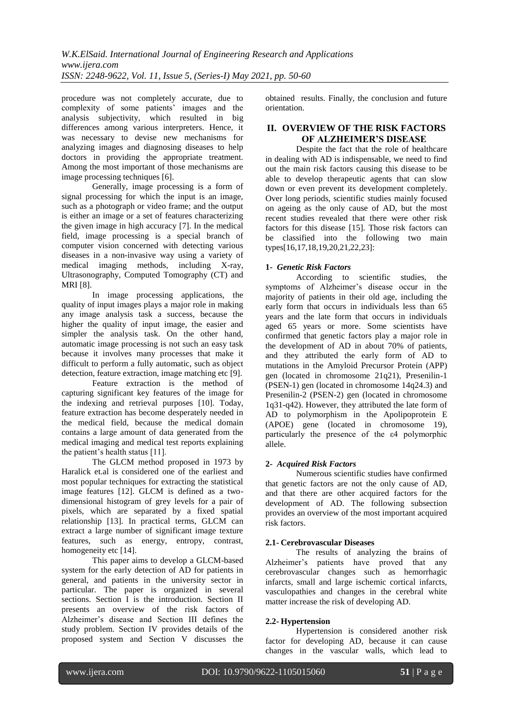procedure was not completely accurate, due to complexity of some patients' images and the analysis subjectivity, which resulted in big differences among various interpreters. Hence, it was necessary to devise new mechanisms for analyzing images and diagnosing diseases to help doctors in providing the appropriate treatment. Among the most important of those mechanisms are image processing techniques [6].

Generally, image processing is a form of signal processing for which the input is an image, such as a photograph or video frame; and the output is either an image or a set of features characterizing the given image in high accuracy [7]. In the medical field, image processing is a special branch of computer vision concerned with detecting various diseases in a non-invasive way using a variety of medical imaging methods, including X-ray, Ultrasonography, Computed Tomography (CT) and MRI [8].

In image processing applications, the quality of input images plays a major role in making any image analysis task a success, because the higher the quality of input image, the easier and simpler the analysis task. On the other hand, automatic image processing is not such an easy task because it involves many processes that make it difficult to perform a fully automatic, such as object detection, feature extraction, image matching etc [9].

Feature extraction is the method of capturing significant key features of the image for the indexing and retrieval purposes [10]. Today, feature extraction has become desperately needed in the medical field, because the medical domain contains a large amount of data generated from the medical imaging and medical test reports explaining the patient's health status [11].

The GLCM method proposed in 1973 by Haralick et.al is considered one of the earliest and most popular techniques for extracting the statistical image features [12]. GLCM is defined as a twodimensional histogram of grey levels for a pair of pixels, which are separated by a fixed spatial relationship [13]. In practical terms, GLCM can extract a large number of significant image texture features, such as energy, entropy, contrast, homogeneity etc [14].

This paper aims to develop a GLCM-based system for the early detection of AD for patients in general, and patients in the university sector in particular. The paper is organized in several sections. Section I is the introduction. Section II presents an overview of the risk factors of Alzheimer's disease and Section III defines the study problem. Section IV provides details of the proposed system and Section V discusses the

obtained results. Finally, the conclusion and future orientation.

# **II. OVERVIEW OF THE RISK FACTORS OF ALZHEIMER'S DISEASE**

Despite the fact that the role of healthcare in dealing with AD is indispensable, we need to find out the main risk factors causing this disease to be able to develop therapeutic agents that can slow down or even prevent its development completely. Over long periods, scientific studies mainly focused on ageing as the only cause of AD, but the most recent studies revealed that there were other risk factors for this disease [15]. Those risk factors can be classified into the following two main types[16,17,18,19,20,21,22,23]:

# **1-** *Genetic Risk Factors*

According to scientific studies, the symptoms of Alzheimer's disease occur in the majority of patients in their old age, including the early form that occurs in individuals less than 65 years and the late form that occurs in individuals aged 65 years or more. Some scientists have confirmed that genetic factors play a major role in the development of AD in about 70% of patients, and they attributed the early form of AD to mutations in the Amyloid Precursor Protein (APP) gen (located in chromosome 21q21), Presenilin-1 (PSEN-1) gen (located in chromosome 14q24.3) and Presenilin-2 (PSEN-2) gen (located in chromosome 1q31-q42). However, they attributed the late form of AD to polymorphism in the Apolipoprotein E (APOE) gene (located in chromosome 19), particularly the presence of the ε4 polymorphic allele.

# **2-** *Acquired Risk Factors*

Numerous scientific studies have confirmed that genetic factors are not the only cause of AD, and that there are other acquired factors for the development of AD. The following subsection provides an overview of the most important acquired risk factors.

# **2.1- Cerebrovascular Diseases**

The results of analyzing the brains of Alzheimer's patients have proved that any cerebrovascular changes such as hemorrhagic infarcts, small and large ischemic cortical infarcts, vasculopathies and changes in the cerebral white matter increase the risk of developing AD.

## **2.2- Hypertension**

Hypertension is considered another risk factor for developing AD, because it can cause changes in the vascular walls, which lead to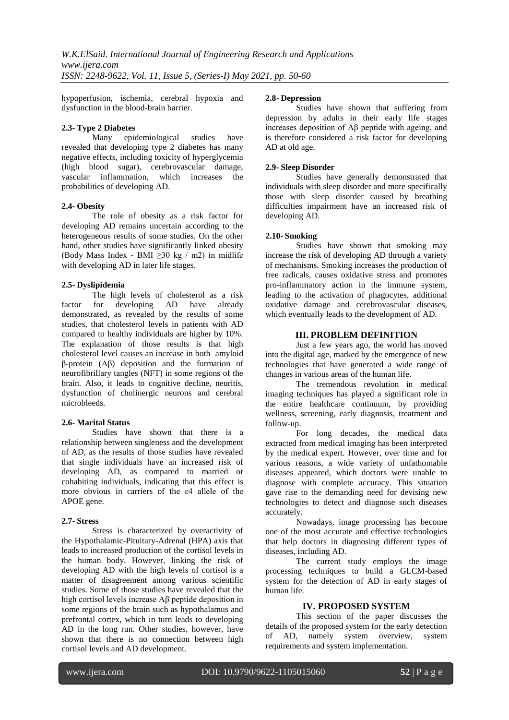hypoperfusion, ischemia, cerebral hypoxia and dysfunction in the blood-brain barrier.

# **2.3- Type 2 Diabetes**

epidemiological studies have revealed that developing type 2 diabetes has many negative effects, including toxicity of hyperglycemia (high blood sugar), cerebrovascular damage, vascular inflammation, which increases the probabilities of developing AD.

# **2.4- Obesity**

The role of obesity as a risk factor for developing AD remains uncertain according to the heterogeneous results of some studies. On the other hand, other studies have significantly linked obesity (Body Mass Index - BMI ≥30 kg / m2) in midlife with developing AD in later life stages.

# **2.5- Dyslipidemia**

The high levels of cholesterol as a risk factor for developing AD have already demonstrated, as revealed by the results of some studies, that cholesterol levels in patients with AD compared to healthy individuals are higher by 10%. The explanation of those results is that high cholesterol level causes an increase in both amyloid β-protein (Aβ) deposition and the formation of neurofibrillary tangles (NFT) in some regions of the brain. Also, it leads to cognitive decline, neuritis, dysfunction of cholinergic neurons and cerebral microbleeds.

## **2.6- Marital Status**

Studies have shown that there is a relationship between singleness and the development of AD, as the results of those studies have revealed that single individuals have an increased risk of developing AD, as compared to married or cohabiting individuals, indicating that this effect is more obvious in carriers of the ε4 allele of the APOE gene.

## **2.7- Stress**

Stress is characterized by overactivity of the Hypothalamic-Pituitary-Adrenal (HPA) axis that leads to increased production of the cortisol levels in the human body. However, linking the risk of developing AD with the high levels of cortisol is a matter of disagreement among various scientific studies. Some of those studies have revealed that the high cortisol levels increase Aβ peptide deposition in some regions of the brain such as hypothalamus and prefrontal cortex, which in turn leads to developing AD in the long run. Other studies, however, have shown that there is no connection between high cortisol levels and AD development.

## **2.8- Depression**

Studies have shown that suffering from depression by adults in their early life stages increases deposition of Aβ peptide with ageing, and is therefore considered a risk factor for developing AD at old age.

# **2.9- Sleep Disorder**

Studies have generally demonstrated that individuals with sleep disorder and more specifically those with sleep disorder caused by breathing difficulties impairment have an increased risk of developing AD.

# **2.10- Smoking**

Studies have shown that smoking may increase the risk of developing AD through a variety of mechanisms. Smoking increases the production of free radicals, causes oxidative stress and promotes pro-inflammatory action in the immune system, leading to the activation of phagocytes, additional oxidative damage and cerebrovascular diseases, which eventually leads to the development of AD.

# **III. PROBLEM DEFINITION**

Just a few years ago, the world has moved into the digital age, marked by the emergence of new technologies that have generated a wide range of changes in various areas of the human life.

The tremendous revolution in medical imaging techniques has played a significant role in the entire healthcare continuum, by providing wellness, screening, early diagnosis, treatment and follow-up.

For long decades, the medical data extracted from medical imaging has been interpreted by the medical expert. However, over time and for various reasons, a wide variety of unfathomable diseases appeared, which doctors were unable to diagnose with complete accuracy. This situation gave rise to the demanding need for devising new technologies to detect and diagnose such diseases accurately.

Nowadays, image processing has become one of the most accurate and effective technologies that help doctors in diagnosing different types of diseases, including AD.

The current study employs the image processing techniques to build a GLCM-based system for the detection of AD in early stages of human life.

# **IV. PROPOSED SYSTEM**

This section of the paper discusses the details of the proposed system for the early detection of AD, namely system overview, system requirements and system implementation.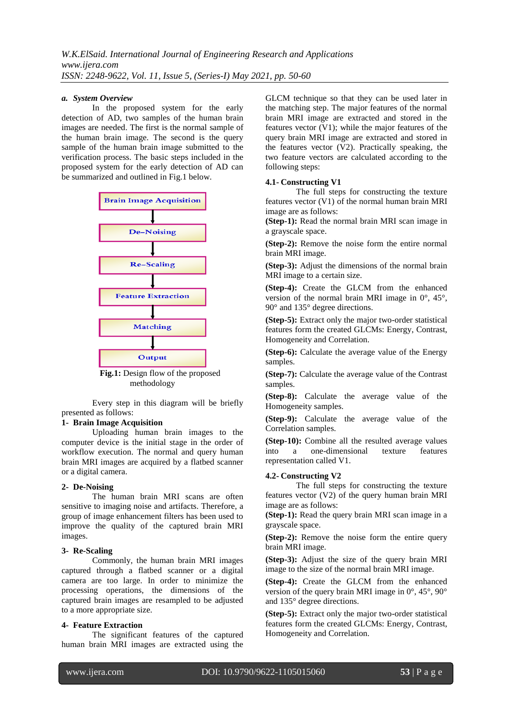#### *a. System Overview*

In the proposed system for the early detection of AD, two samples of the human brain images are needed. The first is the normal sample of the human brain image. The second is the query sample of the human brain image submitted to the verification process. The basic steps included in the proposed system for the early detection of AD can be summarized and outlined in Fig.1 below.



**Fig.1:** Design flow of the proposed methodology

Every step in this diagram will be briefly presented as follows:

#### **1- Brain Image Acquisition**

Uploading human brain images to the computer device is the initial stage in the order of workflow execution. The normal and query human brain MRI images are acquired by a flatbed scanner or a digital camera.

#### **2- De-Noising**

The human brain MRI scans are often sensitive to imaging noise and artifacts. Therefore, a group of image enhancement filters has been used to improve the quality of the captured brain MRI images.

#### **3- Re-Scaling**

Commonly, the human brain MRI images captured through a flatbed scanner or a digital camera are too large. In order to minimize the processing operations, the dimensions of the captured brain images are resampled to be adjusted to a more appropriate size.

#### **4- Feature Extraction**

The significant features of the captured human brain MRI images are extracted using the

GLCM technique so that they can be used later in the matching step. The major features of the normal brain MRI image are extracted and stored in the features vector (V1); while the major features of the query brain MRI image are extracted and stored in the features vector (V2). Practically speaking, the two feature vectors are calculated according to the following steps:

#### **4.1- Constructing V1**

The full steps for constructing the texture features vector (V1) of the normal human brain MRI image are as follows:

**(Step-1):** Read the normal brain MRI scan image in a grayscale space.

**(Step-2):** Remove the noise form the entire normal brain MRI image.

**(Step-3):** Adjust the dimensions of the normal brain MRI image to a certain size.

**(Step-4):** Create the GLCM from the enhanced version of the normal brain MRI image in 0°, 45°, 90° and 135° degree directions.

**(Step-5):** Extract only the major two-order statistical features form the created GLCMs: Energy, Contrast, Homogeneity and Correlation.

**(Step-6):** Calculate the average value of the Energy samples.

**(Step-7):** Calculate the average value of the Contrast samples.

**(Step-8):** Calculate the average value of the Homogeneity samples.

**(Step-9):** Calculate the average value of the Correlation samples.

**(Step-10):** Combine all the resulted average values into a one-dimensional texture features representation called V1.

# **4.2- Constructing V2**

The full steps for constructing the texture features vector (V2) of the query human brain MRI image are as follows:

**(Step-1):** Read the query brain MRI scan image in a grayscale space.

**(Step-2):** Remove the noise form the entire query brain MRI image.

**(Step-3):** Adjust the size of the query brain MRI image to the size of the normal brain MRI image.

**(Step-4):** Create the GLCM from the enhanced version of the query brain MRI image in 0°, 45°, 90° and 135° degree directions.

**(Step-5):** Extract only the major two-order statistical features form the created GLCMs: Energy, Contrast, Homogeneity and Correlation.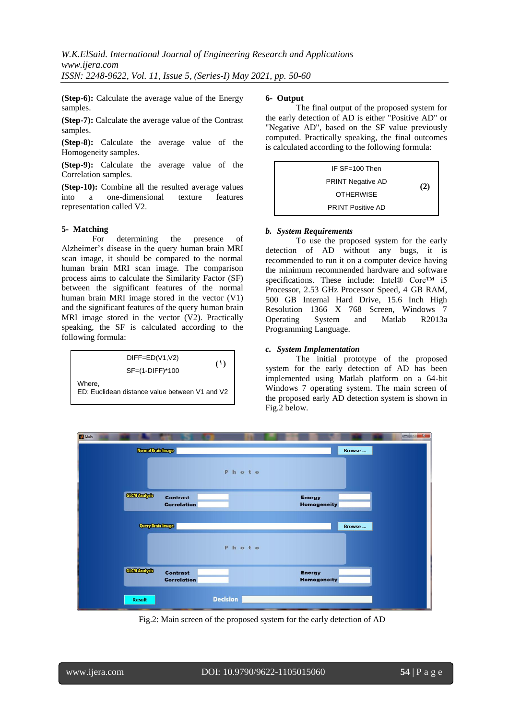**(Step-6):** Calculate the average value of the Energy samples.

**(Step-7):** Calculate the average value of the Contrast samples.

**(Step-8):** Calculate the average value of the Homogeneity samples.

**(Step-9):** Calculate the average value of the Correlation samples.

**(Step-10):** Combine all the resulted average values into a one-dimensional texture features representation called V2.

#### **5- Matching**

For determining the presence of Alzheimer's disease in the query human brain MRI scan image, it should be compared to the normal human brain MRI scan image. The comparison process aims to calculate the Similarity Factor (SF) between the significant features of the normal human brain MRI image stored in the vector (V1) and the significant features of the query human brain MRI image stored in the vector (V2). Practically speaking, the SF is calculated according to the following formula:

$$
DIFF = ED(V1, V2)
$$
\n
$$
SF = (1-DIF)^*100
$$
\nWhere,

\n
$$
ED: Euclidean distance value between V1 and V2
$$

#### **6- Output**

The final output of the proposed system for the early detection of AD is either "Positive AD" or "Negative AD", based on the SF value previously computed. Practically speaking, the final outcomes is calculated according to the following formula:



#### *b. System Requirements*

To use the proposed system for the early detection of AD without any bugs, it is recommended to run it on a computer device having the minimum recommended hardware and software specifications. These include: Intel® Core™ i5 Processor, 2.53 GHz Processor Speed, 4 GB RAM, 500 GB Internal Hard Drive, 15.6 Inch High Resolution 1366 X 768 Screen, Windows 7 Operating System and Matlab R2013a Programming Language.

## *c. System Implementation*

The initial prototype of the proposed system for the early detection of AD has been implemented using Matlab platform on a 64-bit Windows 7 operating system. The main screen of the proposed early AD detection system is shown in Fig.2 below.



Fig.2: Main screen of the proposed system for the early detection of AD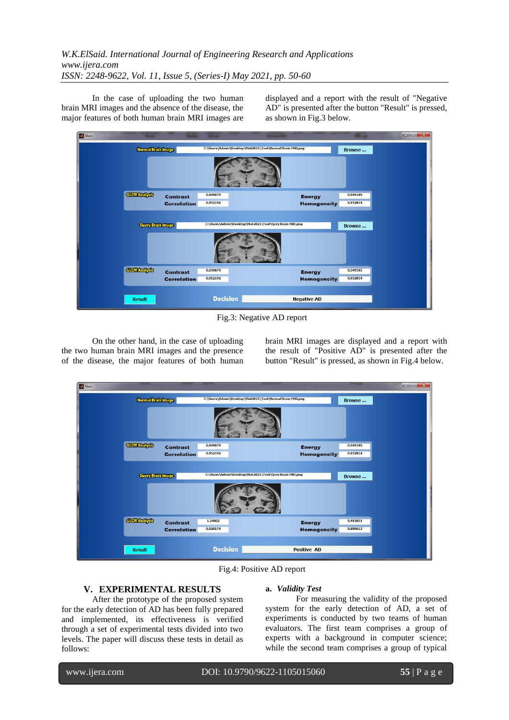In the case of uploading the two human brain MRI images and the absence of the disease, the major features of both human brain MRI images are

displayed and a report with the result of "Negative AD" is presented after the button "Result" is pressed, as shown in Fig.3 below.



Fig.3: Negative AD report

On the other hand, in the case of uploading the two human brain MRI images and the presence of the disease, the major features of both human

brain MRI images are displayed and a report with the result of "Positive AD" is presented after the button "Result" is pressed, as shown in Fig.4 below.



Fig.4: Positive AD report

## **V. EXPERIMENTAL RESULTS**

After the prototype of the proposed system for the early detection of AD has been fully prepared and implemented, its effectiveness is verified through a set of experimental tests divided into two levels. The paper will discuss these tests in detail as follows:

## **a.** *Validity Test*

For measuring the validity of the proposed system for the early detection of AD, a set of experiments is conducted by two teams of human evaluators. The first team comprises a group of experts with a background in computer science; while the second team comprises a group of typical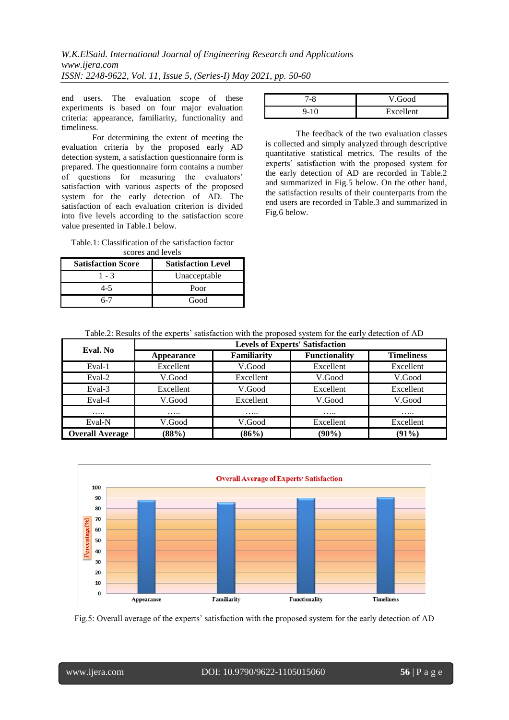end users. The evaluation scope of these experiments is based on four major evaluation criteria: appearance, familiarity, functionality and timeliness.

For determining the extent of meeting the evaluation criteria by the proposed early AD detection system, a satisfaction questionnaire form is prepared. The questionnaire form contains a number of questions for measuring the evaluators' satisfaction with various aspects of the proposed system for the early detection of AD. The satisfaction of each evaluation criterion is divided into five levels according to the satisfaction score value presented in Table.1 below.

Table.1: Classification of the satisfaction factor scores and levels

| <b>Satisfaction Score</b> | <b>Satisfaction Level</b> |
|---------------------------|---------------------------|
| 1 - 3                     | Unacceptable              |
| 4-5                       | Poor                      |
| 5.Ú                       | Good                      |

| V.Good    |
|-----------|
| Excellent |

The feedback of the two evaluation classes is collected and simply analyzed through descriptive quantitative statistical metrics. The results of the experts' satisfaction with the proposed system for the early detection of AD are recorded in Table.2 and summarized in Fig.5 below. On the other hand, the satisfaction results of their counterparts from the end users are recorded in Table.3 and summarized in Fig.6 below.

| Eval. No               | <b>Levels of Experts' Satisfaction</b> |                    |                      |                   |
|------------------------|----------------------------------------|--------------------|----------------------|-------------------|
|                        | Appearance                             | <b>Familiarity</b> | <b>Functionality</b> | <b>Timeliness</b> |
| Eval-1                 | Excellent                              | V.Good             | Excellent            | Excellent         |
| Eval-2                 | V.Good                                 | Excellent          | V.Good               | V.Good            |
| Eval-3                 | Excellent                              | V.Good             | Excellent            | Excellent         |
| Eval-4                 | V.Good                                 | Excellent          | V.Good               | V.Good            |
| .                      | .                                      | .                  | $\cdots\cdots$       | .                 |
| Eval-N                 | V.Good                                 | V.Good             | Excellent            | Excellent         |
| <b>Overall Average</b> | (88%)                                  | $(86\%)$           | $(90\%)$             | $(91\%)$          |



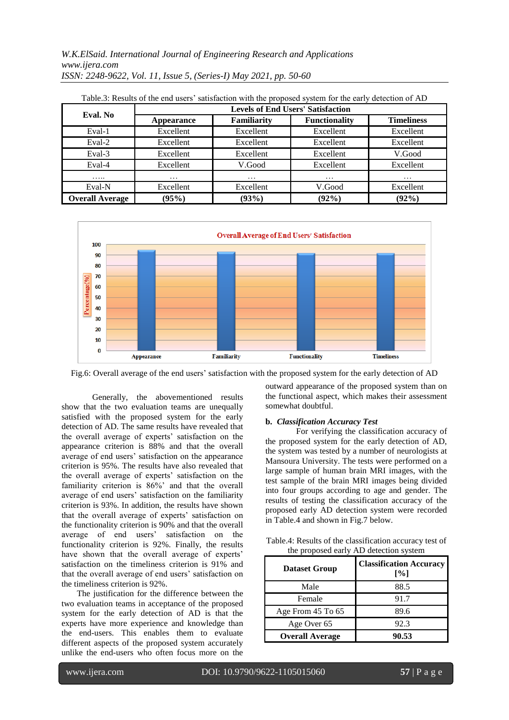*W.K.ElSaid. International Journal of Engineering Research and Applications www.ijera.com ISSN: 2248-9622, Vol. 11, Issue 5, (Series-I) May 2021, pp. 50-60*

| Eval. No               | <b>Levels of End Users' Satisfaction</b> |                    |                      |                   |
|------------------------|------------------------------------------|--------------------|----------------------|-------------------|
|                        | <b>Appearance</b>                        | <b>Familiarity</b> | <b>Functionality</b> | <b>Timeliness</b> |
| Eval-1                 | Excellent                                | Excellent          | Excellent            | Excellent         |
| Eval-2                 | Excellent                                | Excellent          | Excellent            | Excellent         |
| Eval-3                 | Excellent                                | Excellent          | Excellent            | V.Good            |
| Eval-4                 | Excellent                                | V.Good             | Excellent            | Excellent         |
| .                      | $\cdots$                                 | $\cdots$           | $\cdots$             | $\cdots$          |
| Eval-N                 | Excellent                                | Excellent          | V.Good               | Excellent         |
| <b>Overall Average</b> | (95%)                                    | (93%)              | $(92\%)$             | $(92\%)$          |

| Table.3: Results of the end users' satisfaction with the proposed system for the early detection of AD |  |  |  |
|--------------------------------------------------------------------------------------------------------|--|--|--|
|--------------------------------------------------------------------------------------------------------|--|--|--|



Fig.6: Overall average of the end users' satisfaction with the proposed system for the early detection of AD

Generally, the abovementioned results show that the two evaluation teams are unequally satisfied with the proposed system for the early detection of AD. The same results have revealed that the overall average of experts' satisfaction on the appearance criterion is 88% and that the overall average of end users' satisfaction on the appearance criterion is 95%. The results have also revealed that the overall average of experts' satisfaction on the familiarity criterion is 86%' and that the overall average of end users' satisfaction on the familiarity criterion is 93%. In addition, the results have shown that the overall average of experts' satisfaction on the functionality criterion is 90% and that the overall<br>average of end users' satisfaction on the average of end users' functionality criterion is 92%. Finally, the results have shown that the overall average of experts' satisfaction on the timeliness criterion is 91% and that the overall average of end users' satisfaction on the timeliness criterion is 92%.

The justification for the difference between the two evaluation teams in acceptance of the proposed system for the early detection of AD is that the experts have more experience and knowledge than the end-users. This enables them to evaluate different aspects of the proposed system accurately unlike the end-users who often focus more on the

outward appearance of the proposed system than on the functional aspect, which makes their assessment somewhat doubtful.

#### **b.** *Classification Accuracy Test*

For verifying the classification accuracy of the proposed system for the early detection of AD, the system was tested by a number of neurologists at Mansoura University. The tests were performed on a large sample of human brain MRI images, with the test sample of the brain MRI images being divided into four groups according to age and gender. The results of testing the classification accuracy of the proposed early AD detection system were recorded in Table.4 and shown in Fig.7 below.

Table.4: Results of the classification accuracy test of the proposed early AD detection system

| <b>Dataset Group</b>   | <b>Classification Accuracy</b><br>[%] |
|------------------------|---------------------------------------|
| Male                   | 88.5                                  |
| Female                 | 91.7                                  |
| Age From 45 To 65      | 89.6                                  |
| Age Over 65            | 92.3                                  |
| <b>Overall Average</b> | 90.53                                 |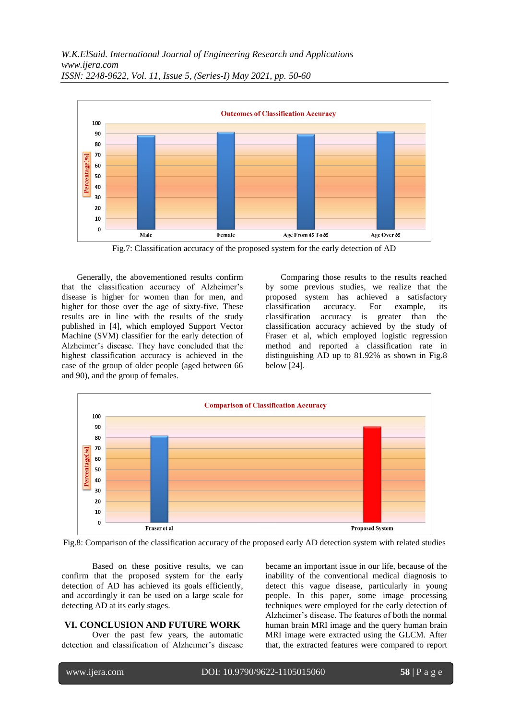

Fig.7: Classification accuracy of the proposed system for the early detection of AD

Generally, the abovementioned results confirm that the classification accuracy of Alzheimer's disease is higher for women than for men, and higher for those over the age of sixty-five. These results are in line with the results of the study published in [4], which employed Support Vector Machine (SVM) classifier for the early detection of Alzheimer's disease. They have concluded that the highest classification accuracy is achieved in the case of the group of older people (aged between 66 and 90), and the group of females.

Comparing those results to the results reached by some previous studies, we realize that the proposed system has achieved a satisfactory classification accuracy. For example, its classification accuracy is greater than the classification accuracy achieved by the study of Fraser et al, which employed logistic regression method and reported a classification rate in distinguishing AD up to 81.92% as shown in Fig.8 below [24].





Based on these positive results, we can confirm that the proposed system for the early detection of AD has achieved its goals efficiently, and accordingly it can be used on a large scale for detecting AD at its early stages.

#### **VI. CONCLUSION AND FUTURE WORK**

Over the past few years, the automatic detection and classification of Alzheimer's disease became an important issue in our life, because of the inability of the conventional medical diagnosis to detect this vague disease, particularly in young people. In this paper, some image processing techniques were employed for the early detection of Alzheimer's disease. The features of both the normal human brain MRI image and the query human brain MRI image were extracted using the GLCM. After that, the extracted features were compared to report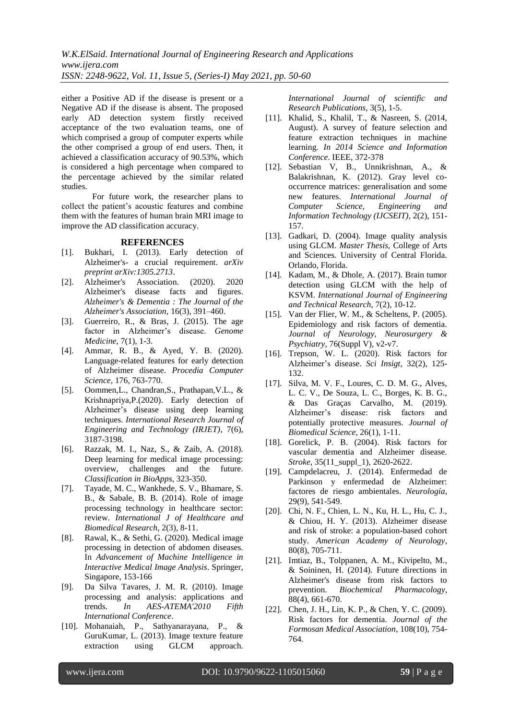*W.K.ElSaid. International Journal of Engineering Research and Applications www.ijera.com ISSN: 2248-9622, Vol. 11, Issue 5, (Series-I) May 2021, pp. 50-60*

either a Positive AD if the disease is present or a Negative AD if the disease is absent. The proposed early AD detection system firstly received acceptance of the two evaluation teams, one of which comprised a group of computer experts while the other comprised a group of end users. Then, it achieved a classification accuracy of 90.53%, which is considered a high percentage when compared to the percentage achieved by the similar related studies.

For future work, the researcher plans to collect the patient's acoustic features and combine them with the features of human brain MRI image to improve the AD classification accuracy.

#### **REFERENCES**

- [1]. Bukhari, I. (2013). Early detection of Alzheimer's- a crucial requirement. *arXiv preprint arXiv:1305.2713*.
- [2]. Alzheimer's Association. (2020). 2020 Alzheimer's disease facts and figures. *Alzheimer's & Dementia : The Journal of the Alzheimer's Association*, 16(3), 391–460.
- [3]. Guerreiro, R., & Bras, J. (2015). The age factor in Alzheimer's disease. *Genome Medicine*, 7(1), 1-3.
- [4]. Ammar, R. B., & Ayed, Y. B. (2020). Language-related features for early detection of Alzheimer disease. *Procedia Computer Science*, 176, 763-770.
- [5]. Oommen,L., Chandran,S., Prathapan,V.L., & Krishnapriya,P.(2020). Early detection of Alzheimer's disease using deep learning techniques. *International Research Journal of Engineering and Technology (IRJET)*, 7(6), 3187-3198.
- [6]. Razzak, M. I., Naz, S., & Zaib, A. (2018). Deep learning for medical image processing: overview, challenges and the future. *Classification in BioApps*, 323-350.
- [7]. Tayade, M. C., Wankhede, S. V., Bhamare, S. B., & Sabale, B. B. (2014). Role of image processing technology in healthcare sector: review. *International J of Healthcare and Biomedical Research*, 2(3), 8-11.
- [8]. Rawal, K., & Sethi, G. (2020). Medical image processing in detection of abdomen diseases. In *Advancement of Machine Intelligence in Interactive Medical Image Analysis*. Springer, Singapore, 153-166
- [9]. Da Silva Tavares, J. M. R. (2010). Image processing and analysis: applications and trends. *In AES-ATEMA'2010 Fifth International Conference*.
- [10]. Mohanaiah, P., Sathyanarayana, P., & GuruKumar, L. (2013). Image texture feature extraction using GLCM approach.

*International Journal of scientific and Research Publications*, 3(5), 1-5.

- [11]. Khalid, S., Khalil, T., & Nasreen, S. (2014, August). A survey of feature selection and feature extraction techniques in machine learning. *In 2014 Science and Information Conference*. IEEE, 372-378
- [12]. Sebastian V, B., Unnikrishnan, A., & Balakrishnan, K. (2012). Gray level cooccurrence matrices: generalisation and some new features. *International Journal of Computer Science, Engineering and Information Technology (IJCSEIT)*, 2(2), 151- 157.
- [13]. Gadkari, D. (2004). Image quality analysis using GLCM. *Master Thesis,* College of Arts and Sciences. University of Central Florida. Orlando, Florida.
- [14]. Kadam, M., & Dhole, A. (2017). Brain tumor detection using GLCM with the help of KSVM. *International Journal of Engineering and Technical Research*, 7(2), 10-12.
- [15]. Van der Flier, W. M., & Scheltens, P. (2005). Epidemiology and risk factors of dementia. *Journal of Neurology, Neurosurgery & Psychiatry*, 76(Suppl V), v2-v7.
- [16]. Trepson, W. L. (2020). Risk factors for Alzheimer's disease. *Sci Insigt*, 32(2), 125- 132.
- [17]. Silva, M. V. F., Loures, C. D. M. G., Alves, L. C. V., De Souza, L. C., Borges, K. B. G., & Das Graças Carvalho, M. (2019). Alzheimer's disease: risk factors and potentially protective measures. *Journal of Biomedical Science*, 26(1), 1-11.
- [18]. Gorelick, P. B. (2004). Risk factors for vascular dementia and Alzheimer disease. *Stroke*, 35(11\_suppl\_1), 2620-2622.
- [19]. Campdelacreu, J. (2014). Enfermedad de Parkinson y enfermedad de Alzheimer: factores de riesgo ambientales. *Neurología*, 29(9), 541-549.
- [20]. Chi, N. F., Chien, L. N., Ku, H. L., Hu, C. J., & Chiou, H. Y. (2013). Alzheimer disease and risk of stroke: a population-based cohort study. *American Academy of Neurology*, 80(8), 705-711.
- [21]. Imtiaz, B., Tolppanen, A. M., Kivipelto, M., & Soininen, H. (2014). Future directions in Alzheimer's disease from risk factors to prevention. *Biochemical Pharmacology*, 88(4), 661-670.
- [22]. Chen, J. H., Lin, K. P., & Chen, Y. C. (2009). Risk factors for dementia. *Journal of the Formosan Medical Association*, 108(10), 754- 764.